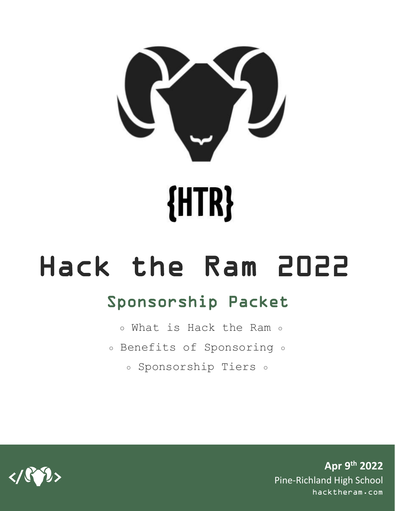

# Hack the Ram 2022

### Sponsorship Packet

- **○** What is Hack the Ram **○**
- **○** Benefits of Sponsoring **○**
	- **○** Sponsorship Tiers **○**

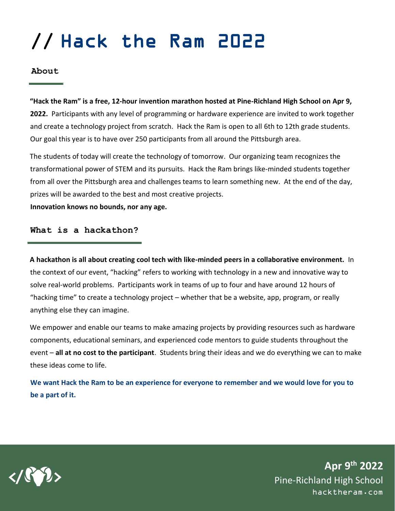### **//** Hack the Ram 2022

**About**

**"Hack the Ram" is a free, 12-hour invention marathon hosted at Pine-Richland High School on Apr 9, 2022.** Participants with any level of programming or hardware experience are invited to work together and create a technology project from scratch. Hack the Ram is open to all 6th to 12th grade students. Our goal this year is to have over 250 participants from all around the Pittsburgh area.

The students of today will create the technology of tomorrow. Our organizing team recognizes the transformational power of STEM and its pursuits. Hack the Ram brings like-minded students together from all over the Pittsburgh area and challenges teams to learn something new. At the end of the day, prizes will be awarded to the best and most creative projects.

**Innovation knows no bounds, nor any age.**

**What is a hackathon?**

**A hackathon is all about creating cool tech with like-minded peers in a collaborative environment.** In the context of our event, "hacking" refers to working with technology in a new and innovative way to solve real-world problems. Participants work in teams of up to four and have around 12 hours of "hacking time" to create a technology project – whether that be a website, app, program, or really anything else they can imagine.

We empower and enable our teams to make amazing projects by providing resources such as hardware components, educational seminars, and experienced code mentors to guide students throughout the event – **all at no cost to the participant**. Students bring their ideas and we do everything we can to make these ideas come to life.

**We want Hack the Ram to be an experience for everyone to remember and we would love for you to be a part of it.**

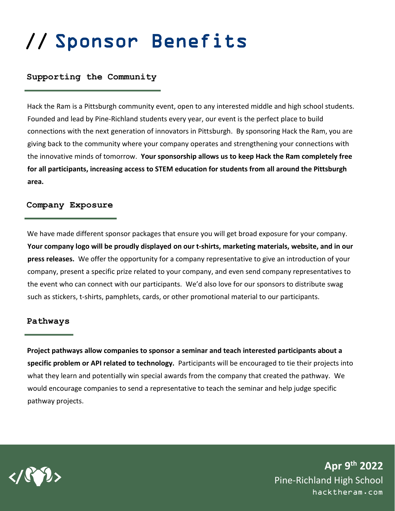### **//** Sponsor Benefits

#### **Supporting the Community**

Hack the Ram is a Pittsburgh community event, open to any interested middle and high school students. Founded and lead by Pine-Richland students every year, our event is the perfect place to build connections with the next generation of innovators in Pittsburgh. By sponsoring Hack the Ram, you are giving back to the community where your company operates and strengthening your connections with the innovative minds of tomorrow. **Your sponsorship allows us to keep Hack the Ram completely free for all participants, increasing access to STEM education for students from all around the Pittsburgh area.** 

#### **Company Exposure**

We have made different sponsor packages that ensure you will get broad exposure for your company. **Your company logo will be proudly displayed on our t-shirts, marketing materials, website, and in our press releases.** We offer the opportunity for a company representative to give an introduction of your company, present a specific prize related to your company, and even send company representatives to the event who can connect with our participants. We'd also love for our sponsors to distribute swag such as stickers, t-shirts, pamphlets, cards, or other promotional material to our participants.

#### **Pathways**

**Project pathways allow companies to sponsor a seminar and teach interested participants about a specific problem or API related to technology.** Participants will be encouraged to tie their projects into what they learn and potentially win special awards from the company that created the pathway. We would encourage companies to send a representative to teach the seminar and help judge specific pathway projects.